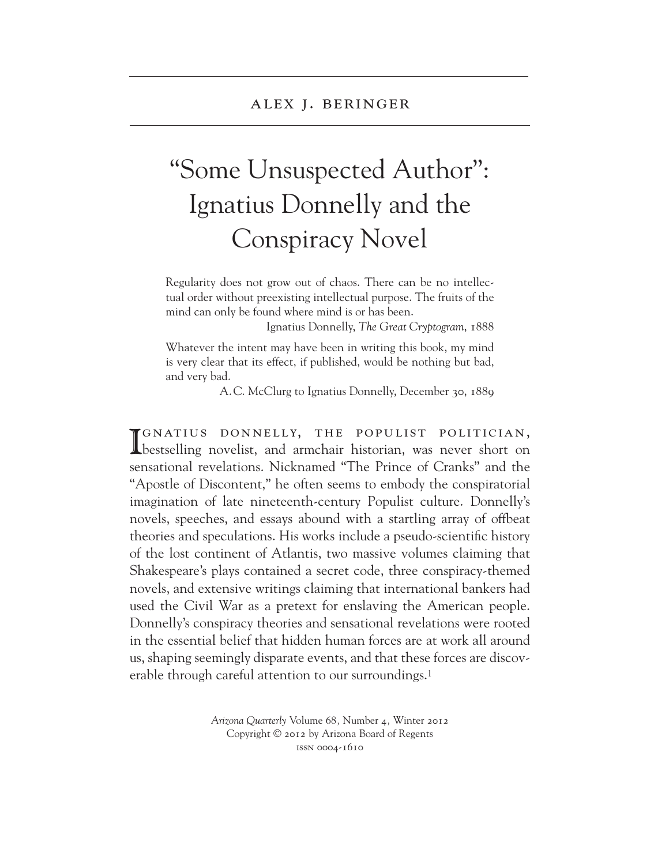## "Some Unsuspected Author": Ignatius Donnelly and the Conspiracy Novel

Regularity does not grow out of chaos. There can be no intellectual order without preexisting intellectual purpose. The fruits of the mind can only be found where mind is or has been.

Ignatius Donnelly, *The Great Cryptogram*, 1888

Whatever the intent may have been in writing this book, my mind is very clear that its effect, if published, would be nothing but bad, and very bad.

A.C. McClurg to Ignatius Donnelly, December 30, 1889

IGNATIUS DONNELLY, THE POPULIST POLITICIAN,<br>bestselling novelist, and armchair historian, was never short on bestselling novelist, and armchair historian, was never short on sensational revelations. Nicknamed "The Prince of Cranks" and the "Apostle of Discontent," he often seems to embody the conspiratorial imagination of late nineteenth-century Populist culture. Donnelly's novels, speeches, and essays abound with a startling array of offbeat theories and speculations. His works include a pseudo-scientific history of the lost continent of Atlantis, two massive volumes claiming that Shakespeare's plays contained a secret code, three conspiracy-themed novels, and extensive writings claiming that international bankers had used the Civil War as a pretext for enslaving the American people. Donnelly's conspiracy theories and sensational revelations were rooted in the essential belief that hidden human forces are at work all around us, shaping seemingly disparate events, and that these forces are discoverable through careful attention to our surroundings.<sup>1</sup>

> *Arizona Quarterly* Volume 68*,* Number 4*,* Winter 2012 Copyright *©* 2012 by Arizona Board of Regents issn 0004-1610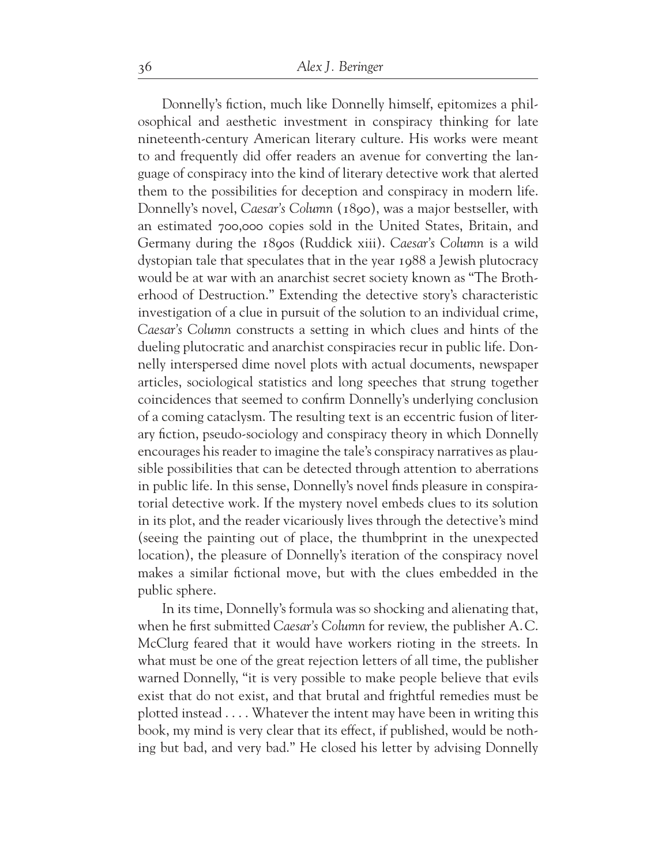Donnelly's fiction, much like Donnelly himself, epitomizes a philosophical and aesthetic investment in conspiracy thinking for late nineteenth-century American literary culture. His works were meant to and frequently did offer readers an avenue for converting the language of conspiracy into the kind of literary detective work that alerted them to the possibilities for deception and conspiracy in modern life. Donnelly's novel, *Caesar's Column* (1890), was a major bestseller, with an estimated 700,000 copies sold in the United States, Britain, and Germany during the 1890s (Ruddick xiii). *Caesar's Column* is a wild dystopian tale that speculates that in the year 1988 a Jewish plutocracy would be at war with an anarchist secret society known as "The Brotherhood of Destruction." Extending the detective story's characteristic investigation of a clue in pursuit of the solution to an individual crime, *Caesar's Column* constructs a setting in which clues and hints of the dueling plutocratic and anarchist conspiracies recur in public life. Donnelly interspersed dime novel plots with actual documents, newspaper articles, sociological statistics and long speeches that strung together coincidences that seemed to confirm Donnelly's underlying conclusion of a coming cataclysm. The resulting text is an eccentric fusion of literary fiction, pseudo-sociology and conspiracy theory in which Donnelly encourages his reader to imagine the tale's conspiracy narratives as plausible possibilities that can be detected through attention to aberrations in public life. In this sense, Donnelly's novel finds pleasure in conspiratorial detective work. If the mystery novel embeds clues to its solution in its plot, and the reader vicariously lives through the detective's mind (seeing the painting out of place, the thumbprint in the unexpected location), the pleasure of Donnelly's iteration of the conspiracy novel makes a similar fictional move, but with the clues embedded in the public sphere.

In its time, Donnelly's formula was so shocking and alienating that, when he first submitted *Caesar's Column* for review, the publisher A.C. McClurg feared that it would have workers rioting in the streets. In what must be one of the great rejection letters of all time, the publisher warned Donnelly, "it is very possible to make people believe that evils exist that do not exist, and that brutal and frightful remedies must be plotted instead . . . . Whatever the intent may have been in writing this book, my mind is very clear that its effect, if published, would be nothing but bad, and very bad." He closed his letter by advising Donnelly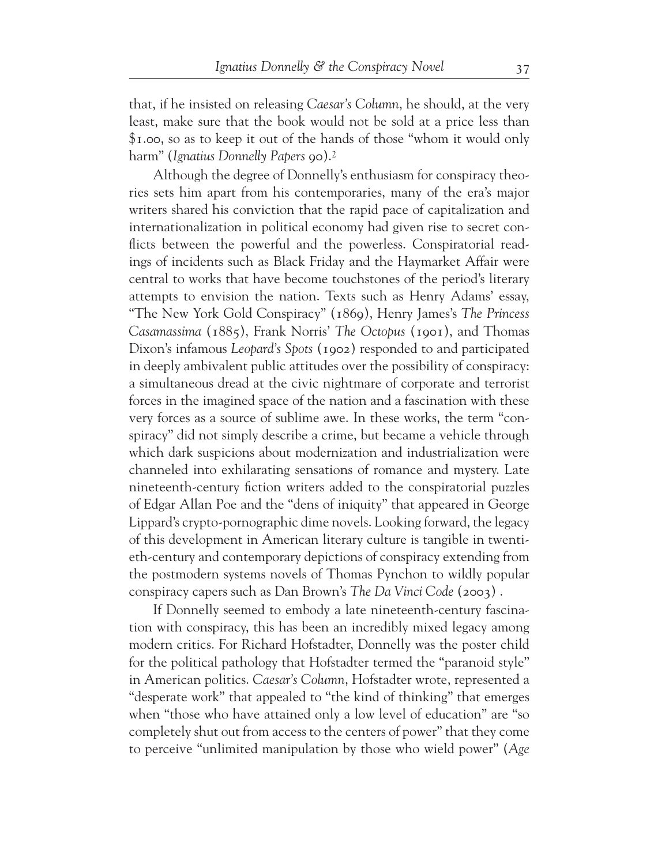that, if he insisted on releasing *Caesar's Column*, he should, at the very least, make sure that the book would not be sold at a price less than \$1.00, so as to keep it out of the hands of those "whom it would only harm" (*Ignatius Donnelly Papers* 90).2

Although the degree of Donnelly's enthusiasm for conspiracy theories sets him apart from his contemporaries, many of the era's major writers shared his conviction that the rapid pace of capitalization and internationalization in political economy had given rise to secret conflicts between the powerful and the powerless. Conspiratorial readings of incidents such as Black Friday and the Haymarket Affair were central to works that have become touchstones of the period's literary attempts to envision the nation. Texts such as Henry Adams' essay, "The New York Gold Conspiracy" (1869), Henry James's *The Princess Casamassima* (1885), Frank Norris' *The Octopus* (1901), and Thomas Dixon's infamous *Leopard's Spots* (1902) responded to and participated in deeply ambivalent public attitudes over the possibility of conspiracy: a simultaneous dread at the civic nightmare of corporate and terrorist forces in the imagined space of the nation and a fascination with these very forces as a source of sublime awe. In these works, the term "conspiracy" did not simply describe a crime, but became a vehicle through which dark suspicions about modernization and industrialization were channeled into exhilarating sensations of romance and mystery. Late nineteenth-century fiction writers added to the conspiratorial puzzles of Edgar Allan Poe and the "dens of iniquity" that appeared in George Lippard's crypto-pornographic dime novels. Looking forward, the legacy of this development in American literary culture is tangible in twentieth-century and contemporary depictions of conspiracy extending from the postmodern systems novels of Thomas Pynchon to wildly popular conspiracy capers such as Dan Brown's *The Da Vinci Code* (2003) .

If Donnelly seemed to embody a late nineteenth-century fascination with conspiracy, this has been an incredibly mixed legacy among modern critics. For Richard Hofstadter, Donnelly was the poster child for the political pathology that Hofstadter termed the "paranoid style" in American politics. *Caesar's Column*, Hofstadter wrote, represented a "desperate work" that appealed to "the kind of thinking" that emerges when "those who have attained only a low level of education" are "so completely shut out from access to the centers of power" that they come to perceive "unlimited manipulation by those who wield power" (*Age*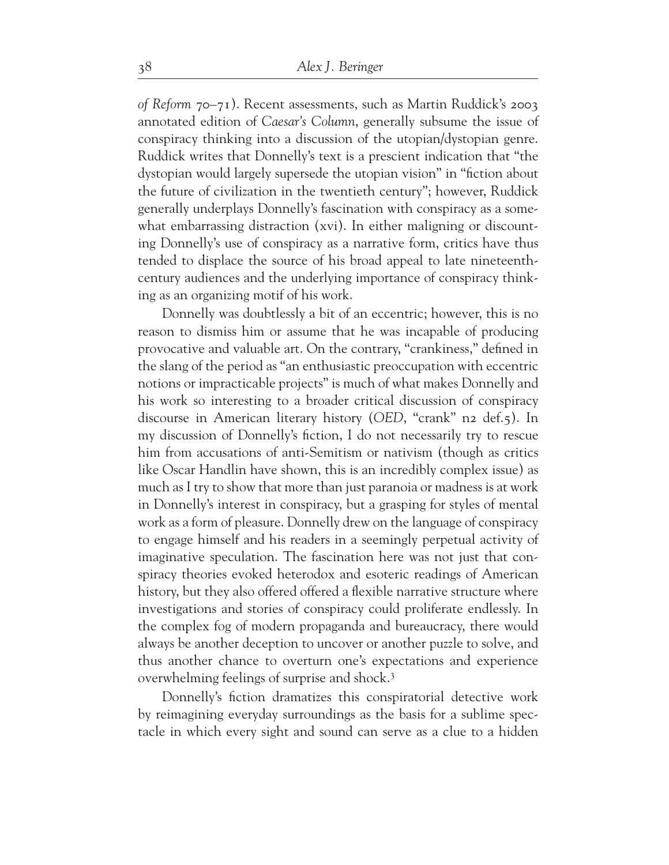*of Reform* 70–71). Recent assessments, such as Martin Ruddick's 2003 annotated edition of *Caesar's Column*, generally subsume the issue of conspiracy thinking into a discussion of the utopian/dystopian genre. Ruddick writes that Donnelly's text is a prescient indication that "the dystopian would largely supersede the utopian vision" in "fiction about the future of civilization in the twentieth century"; however, Ruddick generally underplays Donnelly's fascination with conspiracy as a somewhat embarrassing distraction (xvi). In either maligning or discounting Donnelly's use of conspiracy as a narrative form, critics have thus tended to displace the source of his broad appeal to late nineteenthcentury audiences and the underlying importance of conspiracy thinking as an organizing motif of his work.

Donnelly was doubtlessly a bit of an eccentric; however, this is no reason to dismiss him or assume that he was incapable of producing provocative and valuable art. On the contrary, "crankiness," defined in the slang of the period as "an enthusiastic preoccupation with eccentric notions or impracticable projects" is much of what makes Donnelly and his work so interesting to a broader critical discussion of conspiracy discourse in American literary history (*OED*, "crank" n2 def.5). In my discussion of Donnelly's fiction, I do not necessarily try to rescue him from accusations of anti-Semitism or nativism (though as critics like Oscar Handlin have shown, this is an incredibly complex issue) as much as I try to show that more than just paranoia or madness is at work in Donnelly's interest in conspiracy, but a grasping for styles of mental work as a form of pleasure. Donnelly drew on the language of conspiracy to engage himself and his readers in a seemingly perpetual activity of imaginative speculation. The fascination here was not just that conspiracy theories evoked heterodox and esoteric readings of American history, but they also offered offered a flexible narrative structure where investigations and stories of conspiracy could proliferate endlessly. In the complex fog of modern propaganda and bureaucracy, there would always be another deception to uncover or another puzzle to solve, and thus another chance to overturn one's expectations and experience overwhelming feelings of surprise and shock.3

Donnelly's fiction dramatizes this conspiratorial detective work by reimagining everyday surroundings as the basis for a sublime spectacle in which every sight and sound can serve as a clue to a hidden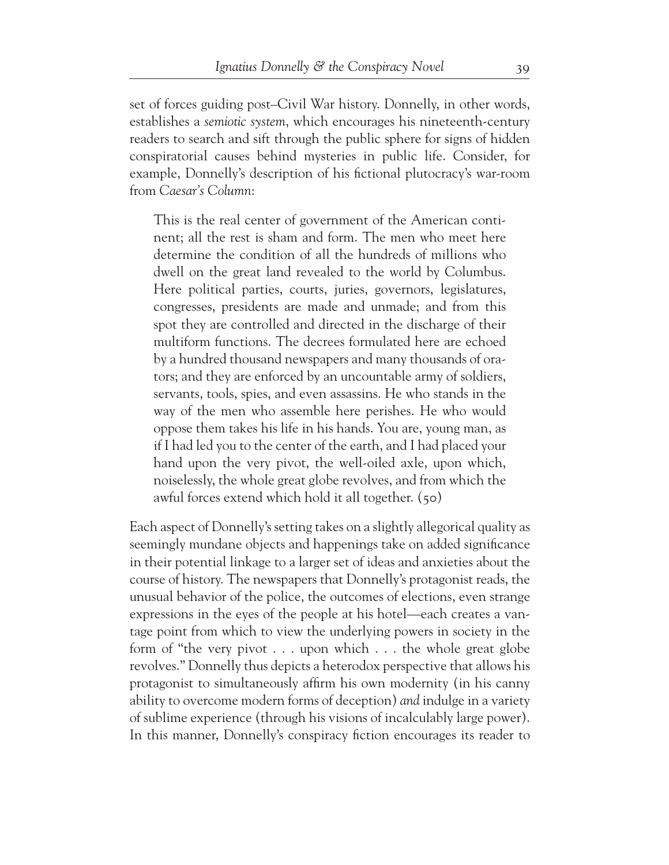set of forces guiding post–Civil War history. Donnelly, in other words, establishes a *semiotic system*, which encourages his nineteenth-century readers to search and sift through the public sphere for signs of hidden conspiratorial causes behind mysteries in public life. Consider, for example, Donnelly's description of his fictional plutocracy's war-room from *Caesar's Column*:

This is the real center of government of the American continent; all the rest is sham and form. The men who meet here determine the condition of all the hundreds of millions who dwell on the great land revealed to the world by Columbus. Here political parties, courts, juries, governors, legislatures, congresses, presidents are made and unmade; and from this spot they are controlled and directed in the discharge of their multiform functions. The decrees formulated here are echoed by a hundred thousand newspapers and many thousands of orators; and they are enforced by an uncountable army of soldiers, servants, tools, spies, and even assassins. He who stands in the way of the men who assemble here perishes. He who would oppose them takes his life in his hands. You are, young man, as if I had led you to the center of the earth, and I had placed your hand upon the very pivot, the well-oiled axle, upon which, noiselessly, the whole great globe revolves, and from which the awful forces extend which hold it all together. (50)

Each aspect of Donnelly's setting takes on a slightly allegorical quality as seemingly mundane objects and happenings take on added significance in their potential linkage to a larger set of ideas and anxieties about the course of history. The newspapers that Donnelly's protagonist reads, the unusual behavior of the police, the outcomes of elections, even strange expressions in the eyes of the people at his hotel—each creates a vantage point from which to view the underlying powers in society in the form of "the very pivot  $\ldots$  upon which  $\ldots$  the whole great globe revolves." Donnelly thus depicts a heterodox perspective that allows his protagonist to simultaneously affirm his own modernity (in his canny ability to overcome modern forms of deception) *and* indulge in a variety of sublime experience (through his visions of incalculably large power). In this manner, Donnelly's conspiracy fiction encourages its reader to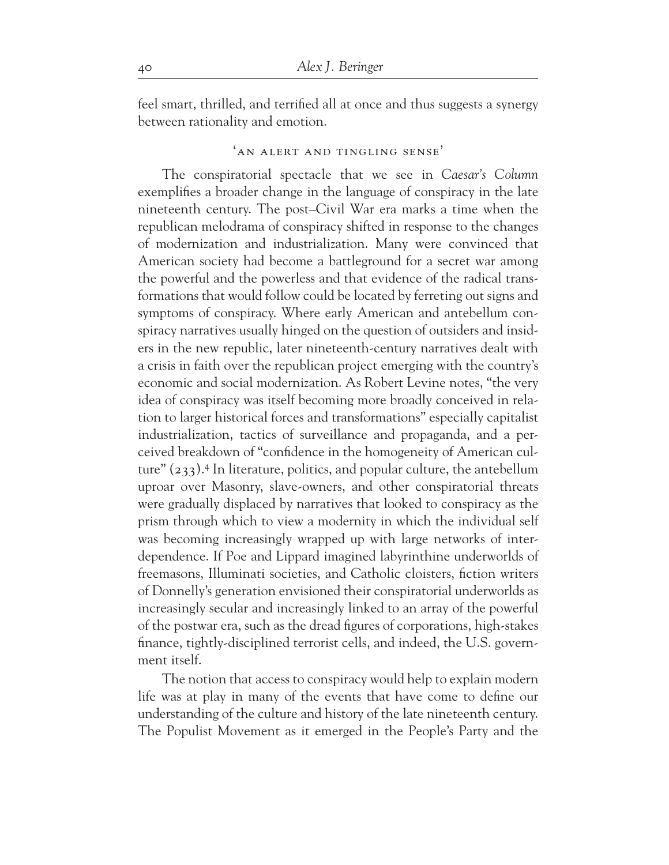feel smart, thrilled, and terrified all at once and thus suggests a synergy between rationality and emotion.

## 'an alert and tingling sense'

The conspiratorial spectacle that we see in *Caesar's Column* exemplifies a broader change in the language of conspiracy in the late nineteenth century. The post–Civil War era marks a time when the republican melodrama of conspiracy shifted in response to the changes of modernization and industrialization. Many were convinced that American society had become a battleground for a secret war among the powerful and the powerless and that evidence of the radical transformations that would follow could be located by ferreting out signs and symptoms of conspiracy. Where early American and antebellum conspiracy narratives usually hinged on the question of outsiders and insiders in the new republic, later nineteenth-century narratives dealt with a crisis in faith over the republican project emerging with the country's economic and social modernization. As Robert Levine notes, "the very idea of conspiracy was itself becoming more broadly conceived in relation to larger historical forces and transformations" especially capitalist industrialization, tactics of surveillance and propaganda, and a perceived breakdown of "confidence in the homogeneity of American culture" (233).4 In literature, politics, and popular culture, the antebellum uproar over Masonry, slave-owners, and other conspiratorial threats were gradually displaced by narratives that looked to conspiracy as the prism through which to view a modernity in which the individual self was becoming increasingly wrapped up with large networks of interdependence. If Poe and Lippard imagined labyrinthine underworlds of freemasons, Illuminati societies, and Catholic cloisters, fiction writers of Donnelly's generation envisioned their conspiratorial underworlds as increasingly secular and increasingly linked to an array of the powerful of the postwar era, such as the dread figures of corporations, high-stakes finance, tightly-disciplined terrorist cells, and indeed, the U.S. government itself.

The notion that access to conspiracy would help to explain modern life was at play in many of the events that have come to define our understanding of the culture and history of the late nineteenth century. The Populist Movement as it emerged in the People's Party and the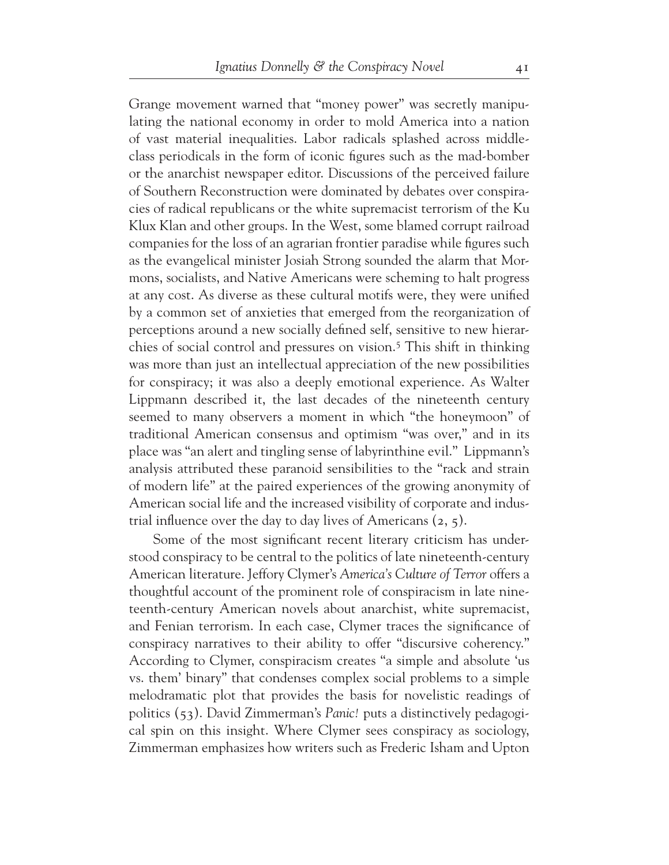Grange movement warned that "money power" was secretly manipulating the national economy in order to mold America into a nation of vast material inequalities. Labor radicals splashed across middleclass periodicals in the form of iconic figures such as the mad-bomber or the anarchist newspaper editor. Discussions of the perceived failure of Southern Reconstruction were dominated by debates over conspiracies of radical republicans or the white supremacist terrorism of the Ku Klux Klan and other groups. In the West, some blamed corrupt railroad companies for the loss of an agrarian frontier paradise while figures such as the evangelical minister Josiah Strong sounded the alarm that Mormons, socialists, and Native Americans were scheming to halt progress at any cost. As diverse as these cultural motifs were, they were unified by a common set of anxieties that emerged from the reorganization of perceptions around a new socially defined self, sensitive to new hierarchies of social control and pressures on vision.5 This shift in thinking was more than just an intellectual appreciation of the new possibilities for conspiracy; it was also a deeply emotional experience. As Walter Lippmann described it, the last decades of the nineteenth century seemed to many observers a moment in which "the honeymoon" of traditional American consensus and optimism "was over," and in its place was "an alert and tingling sense of labyrinthine evil." Lippmann's analysis attributed these paranoid sensibilities to the "rack and strain of modern life" at the paired experiences of the growing anonymity of American social life and the increased visibility of corporate and industrial influence over the day to day lives of Americans  $(z, 5)$ .

Some of the most significant recent literary criticism has understood conspiracy to be central to the politics of late nineteenth-century American literature. Jeffory Clymer's *America's Culture of Terror* offers a thoughtful account of the prominent role of conspiracism in late nineteenth-century American novels about anarchist, white supremacist, and Fenian terrorism. In each case, Clymer traces the significance of conspiracy narratives to their ability to offer "discursive coherency." According to Clymer, conspiracism creates "a simple and absolute 'us vs. them' binary" that condenses complex social problems to a simple melodramatic plot that provides the basis for novelistic readings of politics (53). David Zimmerman's *Panic!* puts a distinctively pedagogical spin on this insight. Where Clymer sees conspiracy as sociology, Zimmerman emphasizes how writers such as Frederic Isham and Upton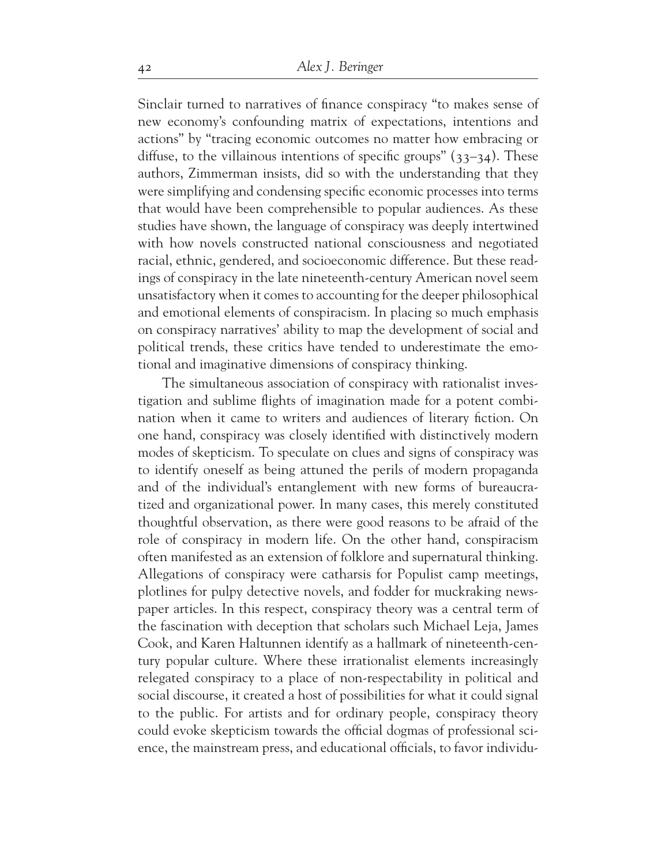Sinclair turned to narratives of finance conspiracy "to makes sense of new economy's confounding matrix of expectations, intentions and actions" by "tracing economic outcomes no matter how embracing or diffuse, to the villainous intentions of specific groups"  $(33-34)$ . These authors, Zimmerman insists, did so with the understanding that they were simplifying and condensing specific economic processes into terms that would have been comprehensible to popular audiences. As these studies have shown, the language of conspiracy was deeply intertwined with how novels constructed national consciousness and negotiated racial, ethnic, gendered, and socioeconomic difference. But these readings of conspiracy in the late nineteenth-century American novel seem unsatisfactory when it comes to accounting for the deeper philosophical and emotional elements of conspiracism. In placing so much emphasis on conspiracy narratives' ability to map the development of social and political trends, these critics have tended to underestimate the emotional and imaginative dimensions of conspiracy thinking.

The simultaneous association of conspiracy with rationalist investigation and sublime flights of imagination made for a potent combination when it came to writers and audiences of literary fiction. On one hand, conspiracy was closely identified with distinctively modern modes of skepticism. To speculate on clues and signs of conspiracy was to identify oneself as being attuned the perils of modern propaganda and of the individual's entanglement with new forms of bureaucratized and organizational power. In many cases, this merely constituted thoughtful observation, as there were good reasons to be afraid of the role of conspiracy in modern life. On the other hand, conspiracism often manifested as an extension of folklore and supernatural thinking. Allegations of conspiracy were catharsis for Populist camp meetings, plotlines for pulpy detective novels, and fodder for muckraking newspaper articles. In this respect, conspiracy theory was a central term of the fascination with deception that scholars such Michael Leja, James Cook, and Karen Haltunnen identify as a hallmark of nineteenth-century popular culture. Where these irrationalist elements increasingly relegated conspiracy to a place of non-respectability in political and social discourse, it created a host of possibilities for what it could signal to the public. For artists and for ordinary people, conspiracy theory could evoke skepticism towards the official dogmas of professional science, the mainstream press, and educational officials, to favor individu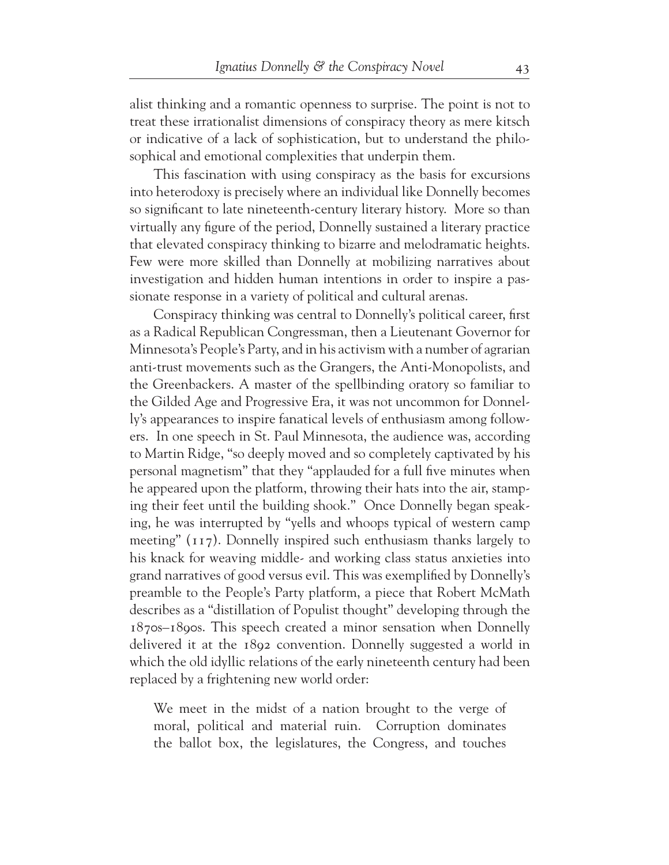alist thinking and a romantic openness to surprise. The point is not to treat these irrationalist dimensions of conspiracy theory as mere kitsch or indicative of a lack of sophistication, but to understand the philosophical and emotional complexities that underpin them.

This fascination with using conspiracy as the basis for excursions into heterodoxy is precisely where an individual like Donnelly becomes so significant to late nineteenth-century literary history. More so than virtually any figure of the period, Donnelly sustained a literary practice that elevated conspiracy thinking to bizarre and melodramatic heights. Few were more skilled than Donnelly at mobilizing narratives about investigation and hidden human intentions in order to inspire a passionate response in a variety of political and cultural arenas.

Conspiracy thinking was central to Donnelly's political career, first as a Radical Republican Congressman, then a Lieutenant Governor for Minnesota's People's Party, and in his activism with a number of agrarian anti-trust movements such as the Grangers, the Anti-Monopolists, and the Greenbackers. A master of the spellbinding oratory so familiar to the Gilded Age and Progressive Era, it was not uncommon for Donnelly's appearances to inspire fanatical levels of enthusiasm among followers. In one speech in St. Paul Minnesota, the audience was, according to Martin Ridge, "so deeply moved and so completely captivated by his personal magnetism" that they "applauded for a full five minutes when he appeared upon the platform, throwing their hats into the air, stamping their feet until the building shook." Once Donnelly began speaking, he was interrupted by "yells and whoops typical of western camp meeting" (117). Donnelly inspired such enthusiasm thanks largely to his knack for weaving middle- and working class status anxieties into grand narratives of good versus evil. This was exemplified by Donnelly's preamble to the People's Party platform, a piece that Robert McMath describes as a "distillation of Populist thought" developing through the 1870s–1890s. This speech created a minor sensation when Donnelly delivered it at the 1892 convention. Donnelly suggested a world in which the old idyllic relations of the early nineteenth century had been replaced by a frightening new world order:

We meet in the midst of a nation brought to the verge of moral, political and material ruin. Corruption dominates the ballot box, the legislatures, the Congress, and touches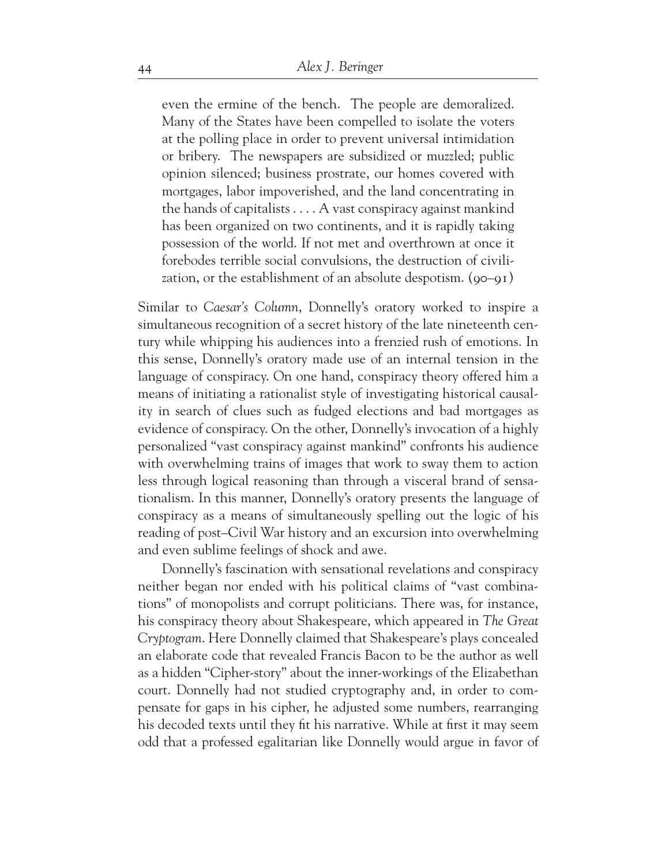even the ermine of the bench. The people are demoralized. Many of the States have been compelled to isolate the voters at the polling place in order to prevent universal intimidation or bribery. The newspapers are subsidized or muzzled; public opinion silenced; business prostrate, our homes covered with mortgages, labor impoverished, and the land concentrating in the hands of capitalists . . . . A vast conspiracy against mankind has been organized on two continents, and it is rapidly taking possession of the world. If not met and overthrown at once it forebodes terrible social convulsions, the destruction of civilization, or the establishment of an absolute despotism.  $(90 - 91)$ 

Similar to *Caesar's Column*, Donnelly's oratory worked to inspire a simultaneous recognition of a secret history of the late nineteenth century while whipping his audiences into a frenzied rush of emotions. In this sense, Donnelly's oratory made use of an internal tension in the language of conspiracy. On one hand, conspiracy theory offered him a means of initiating a rationalist style of investigating historical causality in search of clues such as fudged elections and bad mortgages as evidence of conspiracy. On the other, Donnelly's invocation of a highly personalized "vast conspiracy against mankind" confronts his audience with overwhelming trains of images that work to sway them to action less through logical reasoning than through a visceral brand of sensationalism. In this manner, Donnelly's oratory presents the language of conspiracy as a means of simultaneously spelling out the logic of his reading of post–Civil War history and an excursion into overwhelming and even sublime feelings of shock and awe.

Donnelly's fascination with sensational revelations and conspiracy neither began nor ended with his political claims of "vast combinations" of monopolists and corrupt politicians. There was, for instance, his conspiracy theory about Shakespeare, which appeared in *The Great Cryptogram*. Here Donnelly claimed that Shakespeare's plays concealed an elaborate code that revealed Francis Bacon to be the author as well as a hidden "Cipher-story" about the inner-workings of the Elizabethan court. Donnelly had not studied cryptography and, in order to compensate for gaps in his cipher, he adjusted some numbers, rearranging his decoded texts until they fit his narrative. While at first it may seem odd that a professed egalitarian like Donnelly would argue in favor of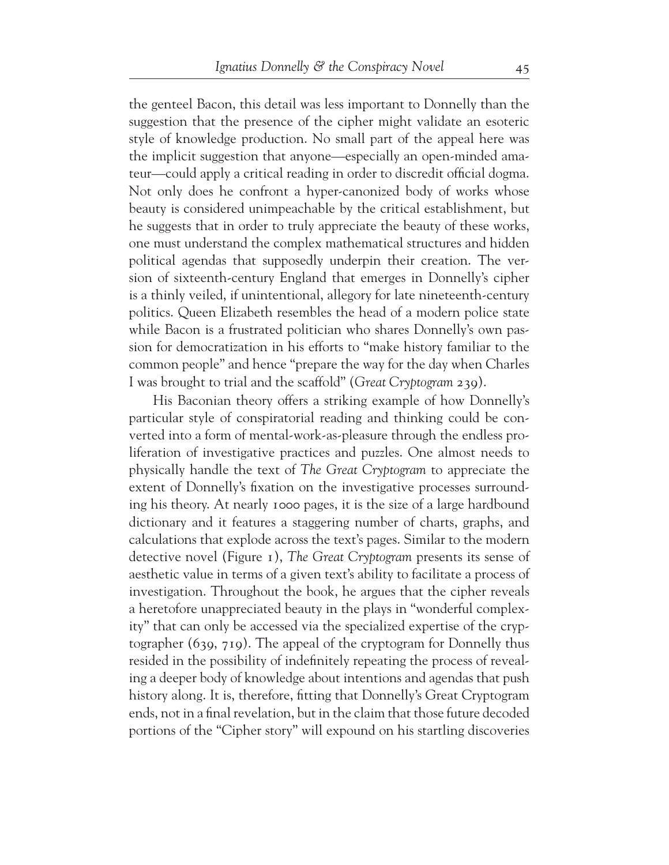the genteel Bacon, this detail was less important to Donnelly than the suggestion that the presence of the cipher might validate an esoteric style of knowledge production. No small part of the appeal here was the implicit suggestion that anyone—especially an open-minded amateur—could apply a critical reading in order to discredit official dogma. Not only does he confront a hyper-canonized body of works whose beauty is considered unimpeachable by the critical establishment, but he suggests that in order to truly appreciate the beauty of these works, one must understand the complex mathematical structures and hidden political agendas that supposedly underpin their creation. The version of sixteenth-century England that emerges in Donnelly's cipher is a thinly veiled, if unintentional, allegory for late nineteenth-century politics. Queen Elizabeth resembles the head of a modern police state while Bacon is a frustrated politician who shares Donnelly's own passion for democratization in his efforts to "make history familiar to the common people" and hence "prepare the way for the day when Charles I was brought to trial and the scaffold" (*Great Cryptogram* 239).

His Baconian theory offers a striking example of how Donnelly's particular style of conspiratorial reading and thinking could be converted into a form of mental-work-as-pleasure through the endless proliferation of investigative practices and puzzles. One almost needs to physically handle the text of *The Great Cryptogram* to appreciate the extent of Donnelly's fixation on the investigative processes surrounding his theory. At nearly 1000 pages, it is the size of a large hardbound dictionary and it features a staggering number of charts, graphs, and calculations that explode across the text's pages. Similar to the modern detective novel (Figure 1), *The Great Cryptogram* presents its sense of aesthetic value in terms of a given text's ability to facilitate a process of investigation. Throughout the book, he argues that the cipher reveals a heretofore unappreciated beauty in the plays in "wonderful complexity" that can only be accessed via the specialized expertise of the cryptographer (639, 719). The appeal of the cryptogram for Donnelly thus resided in the possibility of indefinitely repeating the process of revealing a deeper body of knowledge about intentions and agendas that push history along. It is, therefore, fitting that Donnelly's Great Cryptogram ends, not in a final revelation, but in the claim that those future decoded portions of the "Cipher story" will expound on his startling discoveries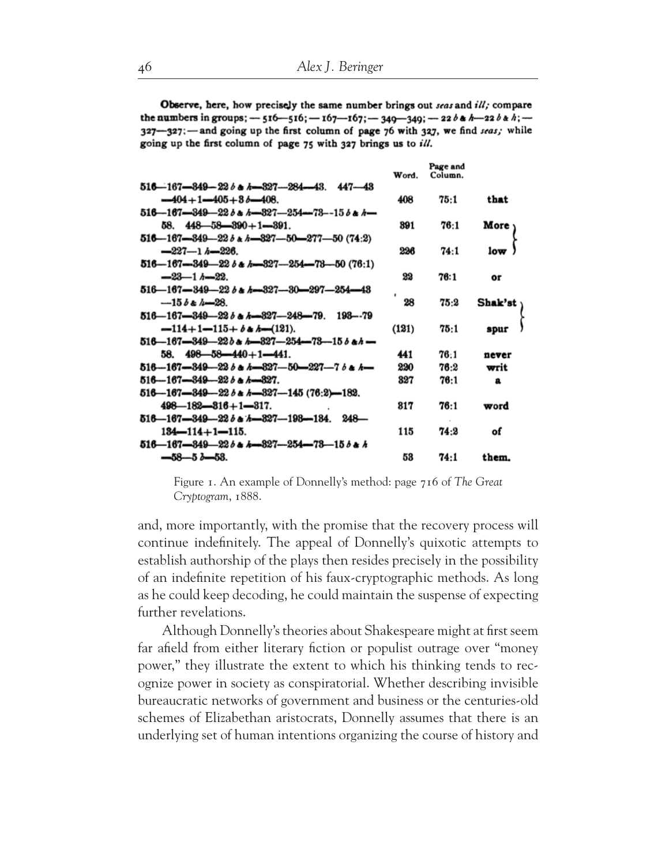Observe, here, how precisely the same number brings out seas and ill; compare the numbers in groups; -- 516-516; -167-167; -340-340; -22 b&h-22 b&h; - $327 - 327$ ; - and going up the first column of page 76 with 327, we find seas; while going up the first column of page 75 with 327 brings us to ill.

|                                                                | Word. | Page and<br>Column. |                  |
|----------------------------------------------------------------|-------|---------------------|------------------|
| $516 - 167 - 349 - 226$ & $h = 327 - 284 - 43$ , $447 - 43$    |       |                     |                  |
| $-404+1-405+36-408$ .                                          | 408   | 75:1                | that             |
| $516 - 167 - 349 - 2264$ a $h - 327 - 254 - 73 - 1564$ k $h -$ |       |                     |                  |
| $58. \quad 448 - 58 - 390 + 1 - 391.$                          | 891   | 76:1                | More             |
| $516 - 167 - 349 - 2264 + 327 - 50 - 277 - 50(74.2)$           |       |                     |                  |
| $-227-1h-226$                                                  | 226   | 74:1                | low              |
| $516 - 167 - 349 - 2264$ b $h = 327 - 254 - 78 - 50(76.1)$     |       |                     |                  |
| $-23 - 14 - 22$                                                | 22    | 76:1                | or               |
| $516 - 167 - 349 - 2264$ a $h = 327 - 30 - 297 - 254 - 43$     |       |                     |                  |
| $-15$ <i>b</i> & $h=28$                                        | 28    | 75:2                | Shak'st          |
| $516 - 167 - 349 - 2266 + -327 - 248 - 79$ . 193--79           |       |                     |                  |
| $-114+1-115+ b$ & $h=(121)$ .                                  | (121) | 75:1                | spur             |
| $516 - 167 - 349 - 22b$ & $h - 327 - 254 - 73 - 15b$ & $h -$   |       |                     |                  |
| $58. \quad 498 - 58 - 440 + 1 - 441.$                          | 441   | 76:1                | never            |
| $516 - 167 - 349 - 2266$ & $h - 327 - 50 - 227 - 76$ & $h -$   | 220   | 76:2                | <del>wr</del> it |
| $516 - 167 - 349 - 226$ a $h = 327$ .                          | 827   | 76:1                | a                |
| $516 - 167 - 349 - 2266$ at $h = 327 - 145(76.2) - 182$ .      |       |                     |                  |
| $498 - 182 - 316 + 1 - 317$ .                                  | 817   | 76:1                | word             |
| $516 - 167 - 349 - 226 + 1237 - 193 - 134$<br>$248-$           |       |                     |                  |
| $134 - 114 + 1 - 115$ .                                        | 115   | 74:2                | of               |
| $516 - 167 - 349 - 226$ & $h = 327 - 254 - 73 - 156$ & h       |       |                     |                  |
| $-58 - 53 - 53$ .                                              | 53    | 74:1                | them.            |
|                                                                |       |                     |                  |

Figure 1. An example of Donnelly's method: page 716 of *The Great Cryptogram*, 1888.

and, more importantly, with the promise that the recovery process will continue indefinitely. The appeal of Donnelly's quixotic attempts to establish authorship of the plays then resides precisely in the possibility of an indefinite repetition of his faux-cryptographic methods. As long as he could keep decoding, he could maintain the suspense of expecting further revelations.

Although Donnelly's theories about Shakespeare might at first seem far afield from either literary fiction or populist outrage over "money power," they illustrate the extent to which his thinking tends to recognize power in society as conspiratorial. Whether describing invisible bureaucratic networks of government and business or the centuries-old schemes of Elizabethan aristocrats, Donnelly assumes that there is an underlying set of human intentions organizing the course of history and